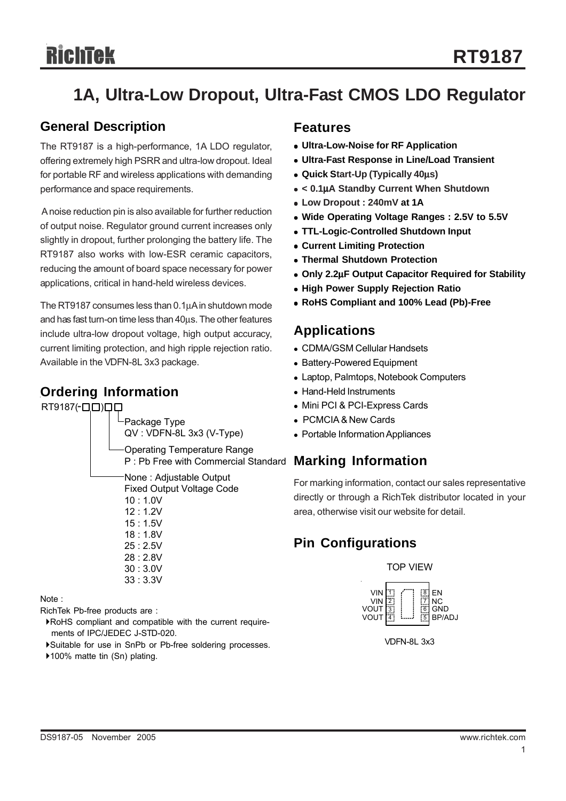# **1A, Ultra-Low Dropout, Ultra-Fast CMOS LDO Regulator**

## **General Description**

The RT9187 is a high-performance, 1A LDO regulator, offering extremely high PSRR and ultra-low dropout. Ideal for portable RF and wireless applications with demanding performance and space requirements.

 A noise reduction pin is also available for further reduction of output noise. Regulator ground current increases only slightly in dropout, further prolonging the battery life. The RT9187 also works with low-ESR ceramic capacitors, reducing the amount of board space necessary for power applications, critical in hand-held wireless devices.

The RT9187 consumes less than 0.1μA in shutdown mode and has fast turn-on time less than 40μs. The other features include ultra-low dropout voltage, high output accuracy, current limiting protection, and high ripple rejection ratio. Available in the VDFN-8L 3x3 package.

## **Ordering Information**

RT9187(-**QO**)

Package Type QV : VDFN-8L 3x3 (V-Type) Operating Temperature Range

P : Pb Free with Commercial Standard None : Adjustable Output Fixed Output Voltage Code 10 : 1.0V 12 : 1.2V 15 : 1.5V 18 : 1.8V 25 : 2.5V 28 : 2.8V 30 : 3.0V 33 : 3.3V

Note :

RichTek Pb-free products are :

- `RoHS compliant and compatible with the current require ments of IPC/JEDEC J-STD-020.
- `Suitable for use in SnPb or Pb-free soldering processes.
- ▶100% matte tin (Sn) plating.

#### **Features**

- **Ultra-Low-Noise for RF Application**
- <sup>z</sup> **Ultra-Fast Response in Line/Load Transient**
- <sup>z</sup> **Quick Start-Up (Typically 40**μ**s)**
- <sup>z</sup> **< 0.1**μ**A Standby Current When Shutdown**
- <sup>z</sup> **Low Dropout : 240mV at 1A**
- Wide Operating Voltage Ranges : 2.5V to 5.5V
- <sup>z</sup> **TTL-Logic-Controlled Shutdown Input**
- **Current Limiting Protection**
- <sup>z</sup> **Thermal Shutdown Protection**
- <sup>z</sup> **Only 2.2**μ**F Output Capacitor Required for Stability**
- **High Power Supply Rejection Ratio**
- <sup>z</sup> **RoHS Compliant and 100% Lead (Pb)-Free**

### **Applications**

- CDMA/GSM Cellular Handsets
- Battery-Powered Equipment
- Laptop, Palmtops, Notebook Computers
- Hand-Held Instruments
- Mini PCI & PCI-Express Cards
- PCMCIA & New Cards
- Portable Information Appliances

## **Marking Information**

For marking information, contact our sales representative directly or through a RichTek distributor located in your area, otherwise visit our website for detail.

## **Pin Configurations**

TOP VIEW



VDFN-8L 3x3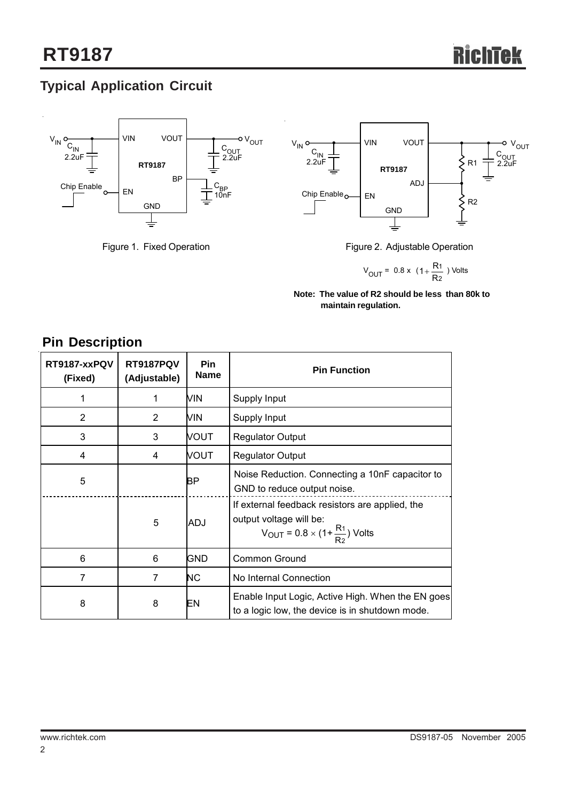## **Typical Application Circuit**





Figure 1. Fixed Operation **Figure 2.** Adjustable Operation

$$
V_{OUT} = 0.8 \times (1 + \frac{R_1}{R_2})
$$
 Volts

**Note: The value of R2 should be less than 80k to maintain regulation.**

## **Pin Description**

| RT9187-xxPQV<br>(Fixed) | <b>RT9187PQV</b><br>(Adjustable) | Pin<br><b>Name</b> | <b>Pin Function</b>                                                                                                                     |  |
|-------------------------|----------------------------------|--------------------|-----------------------------------------------------------------------------------------------------------------------------------------|--|
|                         | 1                                | MIN                | Supply Input                                                                                                                            |  |
| 2                       | $\overline{2}$                   | MIN                | Supply Input                                                                                                                            |  |
| 3                       | 3                                | VOUT               | <b>Regulator Output</b>                                                                                                                 |  |
| 4                       | 4                                | VOUT               | <b>Regulator Output</b>                                                                                                                 |  |
| 5                       |                                  | BΡ                 | Noise Reduction. Connecting a 10nF capacitor to<br>GND to reduce output noise.                                                          |  |
|                         | 5                                | <b>ADJ</b>         | If external feedback resistors are applied, the<br>output voltage will be:<br>$V_{\text{OUT}} = 0.8 \times (1 + \frac{R_1}{R_2})$ Volts |  |
| 6                       | 6                                | <b>GND</b>         | Common Ground                                                                                                                           |  |
| 7                       | 7                                | NC.                | No Internal Connection                                                                                                                  |  |
| 8                       | 8                                | EN                 | Enable Input Logic, Active High. When the EN goes<br>to a logic low, the device is in shutdown mode.                                    |  |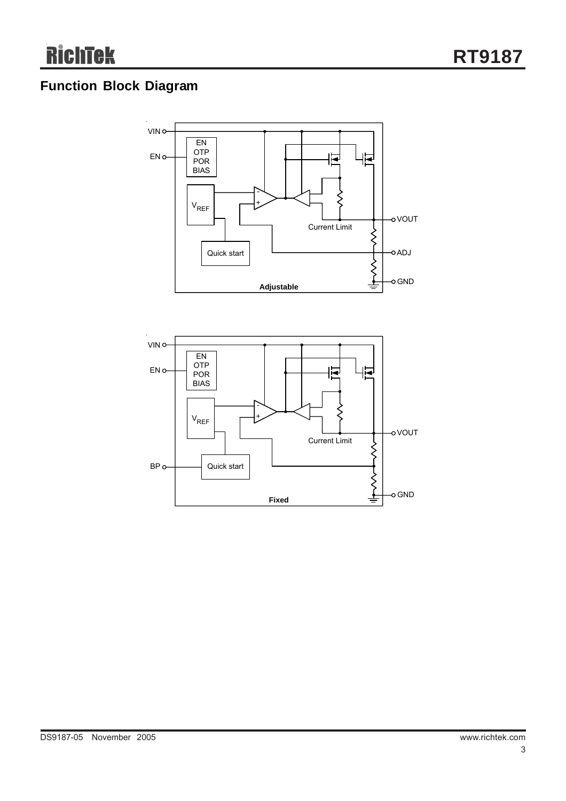## **Function Block Diagram**



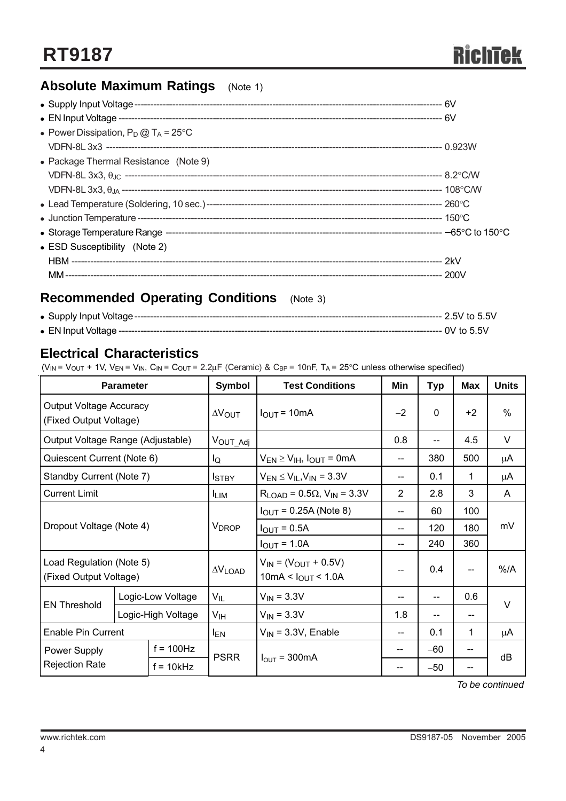## **Absolute Maximum Ratings** (Note 1)

| • Power Dissipation, $P_D @ T_A = 25^{\circ}C$ |  |
|------------------------------------------------|--|
|                                                |  |
| • Package Thermal Resistance (Note 9)          |  |
|                                                |  |
|                                                |  |
|                                                |  |
|                                                |  |
|                                                |  |
| • ESD Susceptibility (Note 2)                  |  |
|                                                |  |
|                                                |  |
|                                                |  |

## **Recommended Operating Conditions** (Note 3)

#### **Electrical Characteristics**

( $V_{IN}$  =  $V_{OUT}$  + 1V,  $V_{EN}$  =  $V_{IN}$ ,  $C_{IN}$  =  $C_{OUT}$  = 2.2 $\mu$ F (Ceramic) &  $C_{BP}$  = 10nF, T<sub>A</sub> = 25°C unless otherwise specified)

| <b>Parameter</b>                                         |                    | <b>Symbol</b>        | <b>Test Conditions</b>                                 | Min                                         | <b>Typ</b>               | <b>Max</b> | <b>Units</b>  |    |  |
|----------------------------------------------------------|--------------------|----------------------|--------------------------------------------------------|---------------------------------------------|--------------------------|------------|---------------|----|--|
| <b>Output Voltage Accuracy</b><br>(Fixed Output Voltage) |                    | $\Delta V_{\rm OUT}$ | $I_{OUT} = 10mA$                                       | $-2$                                        | $\Omega$                 | $+2$       | $\frac{0}{0}$ |    |  |
| Output Voltage Range (Adjustable)                        |                    |                      | Vout_Adj                                               |                                             | 0.8                      |            | 4.5           | V  |  |
| Quiescent Current (Note 6)                               |                    |                      | lQ                                                     | $V_{EN} \geq V_{IH}$ , $I_{OUT} = 0$ mA     | $\qquad \qquad \qquad -$ | 380        | 500           | μA |  |
| Standby Current (Note 7)                                 |                    |                      | <b>I</b> stby                                          | $V_{EN} \leq V_{IL}$ , $V_{IN}$ = 3.3V      | $\overline{\phantom{a}}$ | 0.1        | 1             | μA |  |
| <b>Current Limit</b>                                     |                    |                      | <b>ILIM</b>                                            | $R_{LOAD}$ = 0.5 $\Omega$ , $V_{IN}$ = 3.3V | 2                        | 2.8        | 3             | A  |  |
|                                                          |                    |                      | $I_{OUT} = 0.25A$ (Note 8)                             | --                                          | 60                       | 100        |               |    |  |
| Dropout Voltage (Note 4)                                 |                    |                      | <b>V</b> <sub>DROP</sub>                               | $I_{OUT} = 0.5A$                            | --                       | 120        | 180           | mV |  |
|                                                          |                    |                      | $I_{OUT} = 1.0A$                                       | --                                          | 240                      | 360        |               |    |  |
| Load Regulation (Note 5)<br>(Fixed Output Voltage)       |                    | $\Delta V$ LOAD      | $V_{IN} = (V_{OUT} + 0.5V)$<br>10mA < $I_{OUT}$ < 1.0A | $- -$                                       | 0.4                      |            | $%$ /A        |    |  |
| <b>EN Threshold</b>                                      | Logic-Low Voltage  |                      | $V_{IL}$                                               | $V_{IN} = 3.3V$                             | $-$                      |            | 0.6           | V  |  |
|                                                          | Logic-High Voltage |                      | V <sub>IH</sub>                                        | $V_{IN} = 3.3V$                             | 1.8                      |            | --            |    |  |
| <b>Enable Pin Current</b>                                |                    | <b>IEN</b>           | $V_{IN}$ = 3.3V, Enable                                | $\qquad \qquad \qquad -$                    | 0.1                      | 1          | μA            |    |  |
| Power Supply                                             |                    | $f = 100$ Hz         | <b>PSRR</b>                                            | $I_{\text{OUT}}$ = 300 mA                   |                          | $-60$      |               | dB |  |
| <b>Rejection Rate</b>                                    |                    | $f = 10kHz$          |                                                        |                                             |                          | $-50$      | --            |    |  |

*To be continued*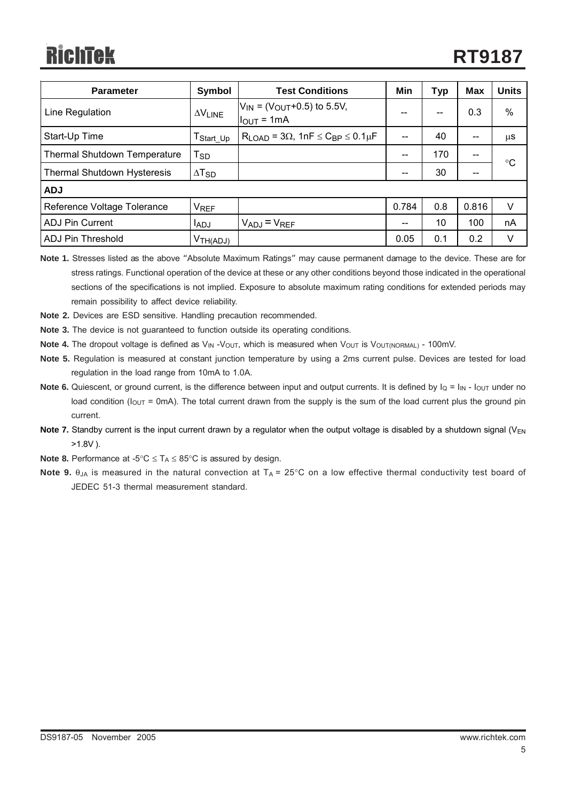| <b>Parameter</b>                    | Symbol                   | <b>Test Conditions</b>                                                  |       | <b>Typ</b> | <b>Max</b> | <b>Units</b>    |
|-------------------------------------|--------------------------|-------------------------------------------------------------------------|-------|------------|------------|-----------------|
| Line Regulation                     | $\Delta V$ LINE          | $V_{IN}$ = ( $V_{OUT}$ +0.5) to 5.5V,<br>$I_{OUT} = 1mA$                | --    | --         | 0.3        | %               |
| Start-Up Time                       | $T_{Start\_Up}$          | $R_{LOAD}$ = 3 $\Omega$ , 1nF $\leq$ C <sub>BP</sub> $\leq$ 0.1 $\mu$ F |       | 40         | $- -$      | μS              |
| <b>Thermal Shutdown Temperature</b> | $T_{SD}$                 |                                                                         |       | 170        |            | $\rm ^{\circ}C$ |
| Thermal Shutdown Hysteresis         | $\Delta$ T <sub>SD</sub> |                                                                         |       | 30         |            |                 |
| <b>ADJ</b>                          |                          |                                                                         |       |            |            |                 |
| Reference Voltage Tolerance         | <b>VREF</b>              |                                                                         | 0.784 | 0.8        | 0.816      | $\vee$          |
| <b>ADJ Pin Current</b>              | <b>LADJ</b>              | $V_{ADJ} = V_{REF}$                                                     | $- -$ | 10         | 100        | nA              |
| <b>ADJ Pin Threshold</b>            | V <sub>TH(ADJ)</sub>     |                                                                         | 0.05  | 0.1        | 0.2        | V               |

**Note 1.** Stresses listed as the above "Absolute Maximum Ratings" may cause permanent damage to the device. These are for stress ratings. Functional operation of the device at these or any other conditions beyond those indicated in the operational sections of the specifications is not implied. Exposure to absolute maximum rating conditions for extended periods may remain possibility to affect device reliability.

- **Note 2.** Devices are ESD sensitive. Handling precaution recommended.
- **Note 3.** The device is not guaranteed to function outside its operating conditions.
- **Note 4.** The dropout voltage is defined as V<sub>IN</sub> -V<sub>OUT</sub>, which is measured when V<sub>OUT</sub> is V<sub>OUT(NORMAL)</sub> 100mV.
- **Note 5.** Regulation is measured at constant junction temperature by using a 2ms current pulse. Devices are tested for load regulation in the load range from 10mA to 1.0A.
- **Note 6.** Quiescent, or ground current, is the difference between input and output currents. It is defined by  $I_Q = I_{IN} I_{OUT}$  under no load condition ( $I_{\text{OUT}}$  = 0mA). The total current drawn from the supply is the sum of the load current plus the ground pin current.
- **Note 7.** Standby current is the input current drawn by a regulator when the output voltage is disabled by a shutdown signal (V<sub>EN</sub>)  $>1.8V$ ).
- **Note 8.** Performance at -5°C ≤ T<sub>A</sub> ≤ 85°C is assured by design.
- **Note 9.** θ<sub>JA</sub> is measured in the natural convection at T<sub>A</sub> = 25°C on a low effective thermal conductivity test board of JEDEC 51-3 thermal measurement standard.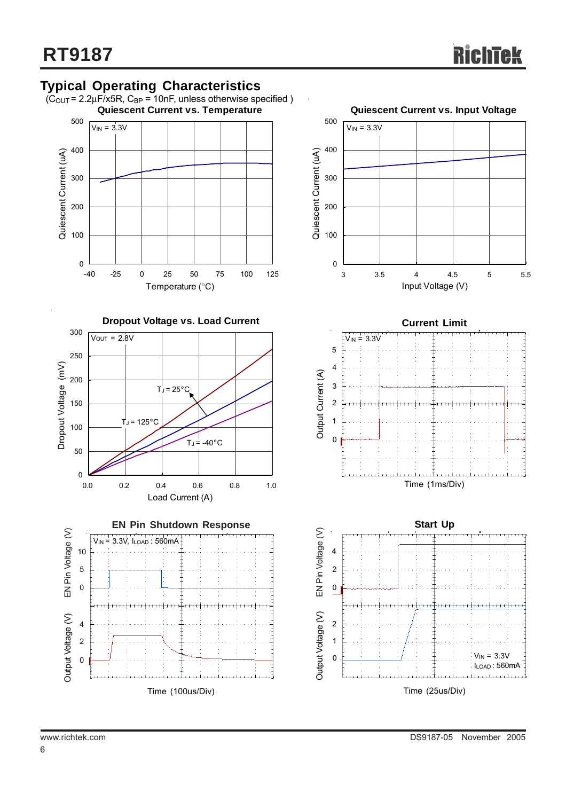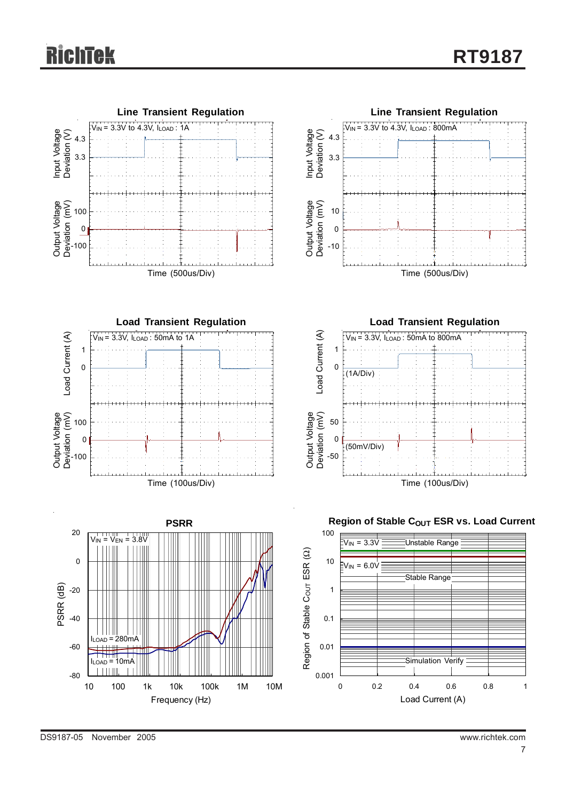